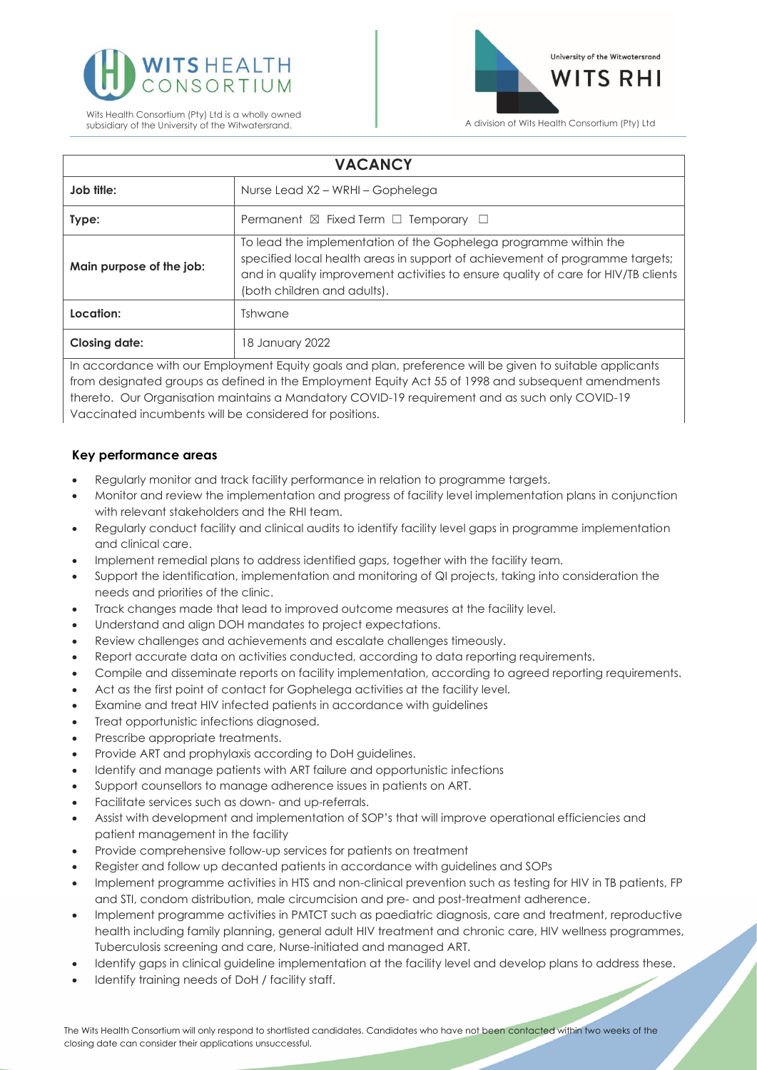



| <b>VACANCY</b>                                                                                           |                                                                                                                                                                                                                                                                       |
|----------------------------------------------------------------------------------------------------------|-----------------------------------------------------------------------------------------------------------------------------------------------------------------------------------------------------------------------------------------------------------------------|
| Job title:                                                                                               | Nurse Lead X2 - WRHI - Gophelega                                                                                                                                                                                                                                      |
| Type:                                                                                                    | Permanent $\boxtimes$ Fixed Term $\Box$ Temporary $\Box$                                                                                                                                                                                                              |
| Main purpose of the job:                                                                                 | To lead the implementation of the Gophelega programme within the<br>specified local health areas in support of achievement of programme targets;<br>and in quality improvement activities to ensure quality of care for HIV/TB clients<br>(both children and adults). |
| Location:                                                                                                | Tshwane                                                                                                                                                                                                                                                               |
| <b>Closing date:</b>                                                                                     | 18 January 2022                                                                                                                                                                                                                                                       |
| In accordance with our Employment Equity goals and plan, preference will be given to suitable applicants |                                                                                                                                                                                                                                                                       |

from designated groups as defined in the Employment Equity Act 55 of 1998 and subsequent amendments thereto. Our Organisation maintains a Mandatory COVID-19 requirement and as such only COVID-19 Vaccinated incumbents will be considered for positions.

## **Key performance areas**

- Regularly monitor and track facility performance in relation to programme targets.
- Monitor and review the implementation and progress of facility level implementation plans in conjunction with relevant stakeholders and the RHI team.
- Regularly conduct facility and clinical audits to identify facility level gaps in programme implementation and clinical care.
- Implement remedial plans to address identified gaps, together with the facility team.
- Support the identification, implementation and monitoring of QI projects, taking into consideration the needs and priorities of the clinic.
- Track changes made that lead to improved outcome measures at the facility level.
- Understand and align DOH mandates to project expectations.
- Review challenges and achievements and escalate challenges timeously.
- Report accurate data on activities conducted, according to data reporting requirements.
- Compile and disseminate reports on facility implementation, according to agreed reporting requirements.
- Act as the first point of contact for Gophelega activities at the facility level.
- Examine and treat HIV infected patients in accordance with guidelines
- Treat opportunistic infections diagnosed.
- Prescribe appropriate treatments.
- Provide ART and prophylaxis according to DoH guidelines.
- Identify and manage patients with ART failure and opportunistic infections
- Support counsellors to manage adherence issues in patients on ART.
- Facilitate services such as down- and up-referrals.
- Assist with development and implementation of SOP's that will improve operational efficiencies and patient management in the facility
- Provide comprehensive follow-up services for patients on treatment
- Register and follow up decanted patients in accordance with guidelines and SOPs
- Implement programme activities in HTS and non-clinical prevention such as testing for HIV in TB patients, FP and STI, condom distribution, male circumcision and pre- and post-treatment adherence.
- Implement programme activities in PMTCT such as paediatric diagnosis, care and treatment, reproductive health including family planning, general adult HIV treatment and chronic care, HIV wellness programmes, Tuberculosis screening and care, Nurse-initiated and managed ART.
- Identify gaps in clinical guideline implementation at the facility level and develop plans to address these.
- Identify training needs of DoH / facility staff.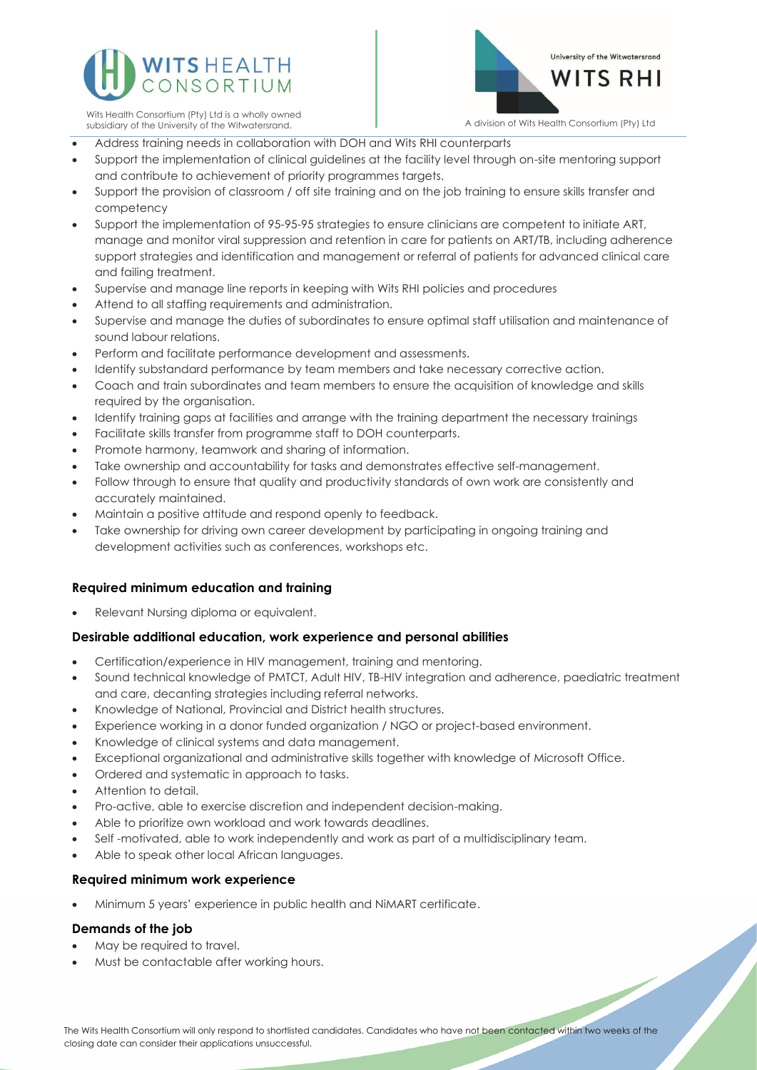



Wits Health Consortium (Pty) Ltd is a wholly owned

- Address training needs in collaboration with DOH and Wits RHI counterparts
- Support the implementation of clinical guidelines at the facility level through on-site mentoring support and contribute to achievement of priority programmes targets.
- Support the provision of classroom / off site training and on the job training to ensure skills transfer and competency
- Support the implementation of 95-95-95 strategies to ensure clinicians are competent to initiate ART, manage and monitor viral suppression and retention in care for patients on ART/TB, including adherence support strategies and identification and management or referral of patients for advanced clinical care and failing treatment.
- Supervise and manage line reports in keeping with Wits RHI policies and procedures
- Attend to all staffing requirements and administration.
- Supervise and manage the duties of subordinates to ensure optimal staff utilisation and maintenance of sound labour relations.
- Perform and facilitate performance development and assessments.
- Identify substandard performance by team members and take necessary corrective action.
- Coach and train subordinates and team members to ensure the acquisition of knowledge and skills required by the organisation.
- Identify training gaps at facilities and arrange with the training department the necessary trainings
- Facilitate skills transfer from programme staff to DOH counterparts.
- Promote harmony, teamwork and sharing of information.
- Take ownership and accountability for tasks and demonstrates effective self-management.
- Follow through to ensure that quality and productivity standards of own work are consistently and accurately maintained.
- Maintain a positive attitude and respond openly to feedback.
- Take ownership for driving own career development by participating in ongoing training and development activities such as conferences, workshops etc.

# **Required minimum education and training**

• Relevant Nursing diploma or equivalent.

### **Desirable additional education, work experience and personal abilities**

- Certification/experience in HIV management, training and mentoring.
- Sound technical knowledge of PMTCT, Adult HIV, TB-HIV integration and adherence, paediatric treatment and care, decanting strategies including referral networks.
- Knowledge of National, Provincial and District health structures.
- Experience working in a donor funded organization / NGO or project-based environment.
- Knowledge of clinical systems and data management.
- Exceptional organizational and administrative skills together with knowledge of Microsoft Office.
- Ordered and systematic in approach to tasks.
- Attention to detail.
- Pro-active, able to exercise discretion and independent decision-making.
- Able to prioritize own workload and work towards deadlines.
- Self -motivated, able to work independently and work as part of a multidisciplinary team.
- Able to speak other local African languages.

### **Required minimum work experience**

• Minimum 5 years' experience in public health and NiMART certificate.

### **Demands of the job**

- May be required to travel.
- Must be contactable after working hours.